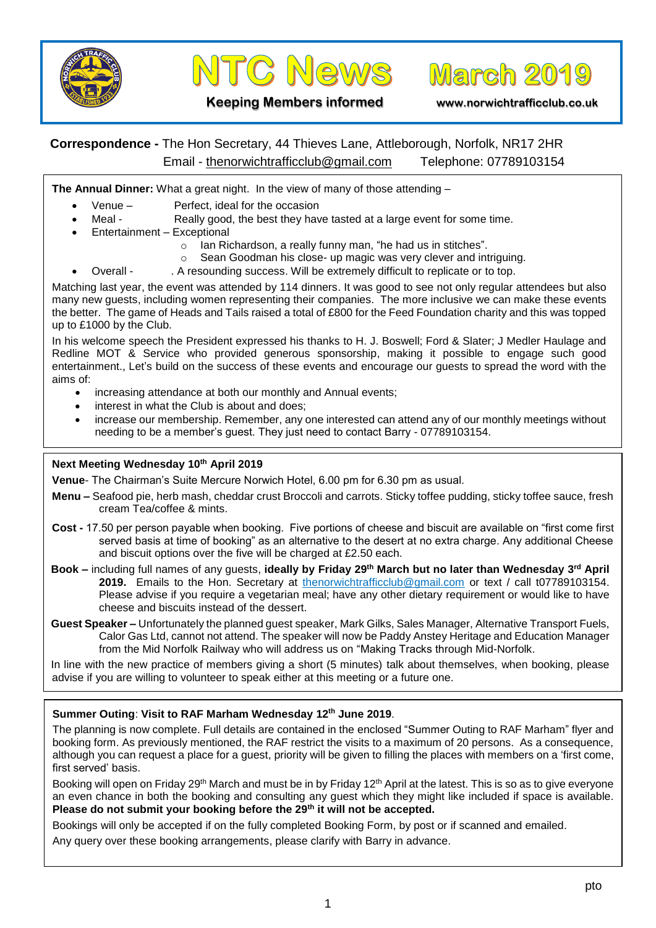



**March 2019** 

### **Keeping Members informed www.norwichtrafficclub.co.uk**

# **Correspondence -** The Hon Secretary, 44 Thieves Lane, Attleborough, Norfolk, NR17 2HR Email - [thenorwichtrafficclub@gmail.com](mailto:thenorwichtrafficclub@gmail.com) Telephone: 07789103154

**The Annual Dinner:** What a great night. In the view of many of those attending –

- Venue Perfect, ideal for the occasion
- Meal Really good, the best they have tasted at a large event for some time.
	- Entertainment Exceptional
		- o Ian Richardson, a really funny man, "he had us in stitches".
		- o Sean Goodman his close- up magic was very clever and intriguing.
		- Overall . A resounding success. Will be extremely difficult to replicate or to top.

Matching last year, the event was attended by 114 dinners. It was good to see not only regular attendees but also many new guests, including women representing their companies. The more inclusive we can make these events the better. The game of Heads and Tails raised a total of £800 for the Feed Foundation charity and this was topped up to £1000 by the Club.

In his welcome speech the President expressed his thanks to H. J. Boswell; Ford & Slater; J Medler Haulage and Redline MOT & Service who provided generous sponsorship, making it possible to engage such good entertainment., Let's build on the success of these events and encourage our guests to spread the word with the aims of:

- increasing attendance at both our monthly and Annual events;
- interest in what the Club is about and does:
- increase our membership. Remember, any one interested can attend any of our monthly meetings without needing to be a member's guest. They just need to contact Barry - 07789103154.

## **Next Meeting Wednesday 10th April 2019**

**Venue**- The Chairman's Suite Mercure Norwich Hotel, 6.00 pm for 6.30 pm as usual.

- **Menu –** Seafood pie, herb mash, cheddar crust Broccoli and carrots. Sticky toffee pudding, sticky toffee sauce, fresh cream Tea/coffee & mints.
- **Cost -** 17.50 per person payable when booking. Five portions of cheese and biscuit are available on "first come first served basis at time of booking" as an alternative to the desert at no extra charge. Any additional Cheese and biscuit options over the five will be charged at £2.50 each.
- **Book –** including full names of any guests, **ideally by Friday 29th March but no later than Wednesday 3 rd April 2019.** Emails to the Hon. Secretary at [thenorwichtrafficclub@gmail.com](mailto:thenorwichtrafficclub@gmail.com) or text / call t07789103154. Please advise if you require a vegetarian meal; have any other dietary requirement or would like to have cheese and biscuits instead of the dessert.
- **Guest Speaker –** Unfortunately the planned guest speaker, Mark Gilks, Sales Manager, Alternative Transport Fuels, Calor Gas Ltd, cannot not attend. The speaker will now be Paddy Anstey Heritage and Education Manager from the Mid Norfolk Railway who will address us on "Making Tracks through Mid-Norfolk.

In line with the new practice of members giving a short (5 minutes) talk about themselves, when booking, please advise if you are willing to volunteer to speak either at this meeting or a future one.

### **Summer Outing**: **Visit to RAF Marham Wednesday 12th June 2019**.

The planning is now complete. Full details are contained in the enclosed "Summer Outing to RAF Marham" flyer and booking form. As previously mentioned, the RAF restrict the visits to a maximum of 20 persons. As a consequence, although you can request a place for a guest, priority will be given to filling the places with members on a 'first come, first served' basis.

Booking will open on Friday 29<sup>th</sup> March and must be in by Friday 12<sup>th</sup> April at the latest. This is so as to give everyone an even chance in both the booking and consulting any guest which they might like included if space is available. **Please do not submit your booking before the 29th it will not be accepted.**

Bookings will only be accepted if on the fully completed Booking Form, by post or if scanned and emailed.

Any query over these booking arrangements, please clarify with Barry in advance.